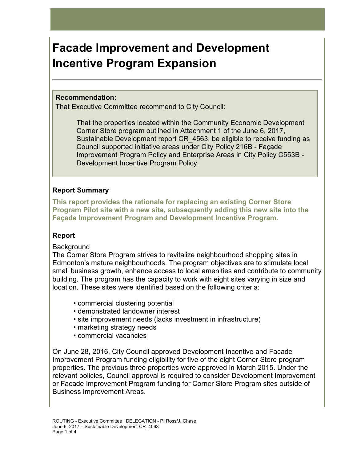# **Facade Improvement and Development Incentive Program Expansion**

#### **Recommendation:**

That Executive Committee recommend to City Council:

That the properties located within the Community Economic Development Corner Store program outlined in Attachment 1 of the June 6, 2017, Sustainable Development report CR\_4563, be eligible to receive funding as Council supported initiative areas under City Policy 216B - Façade Improvement Program Policy and Enterprise Areas in City Policy C553B - Development Incentive Program Policy.

# **Report Summary**

**This report provides the rationale for replacing an existing Corner Store Program Pilot site with a new site, subsequently adding this new site into the Façade Improvement Program and Development Incentive Program.** 

# **Report**

# **Background**

The Corner Store Program strives to revitalize neighbourhood shopping sites in Edmonton's mature neighbourhoods. The program objectives are to stimulate local small business growth, enhance access to local amenities and contribute to community building. The program has the capacity to work with eight sites varying in size and location. These sites were identified based on the following criteria:

- commercial clustering potential
- demonstrated landowner interest
- site improvement needs (lacks investment in infrastructure)
- marketing strategy needs
- commercial vacancies

On June 28, 2016, City Council approved Development Incentive and Facade Improvement Program funding eligibility for five of the eight Corner Store program properties. The previous three properties were approved in March 2015. Under the relevant policies, Council approval is required to consider Development Improvement or Facade Improvement Program funding for Corner Store Program sites outside of Business Improvement Areas.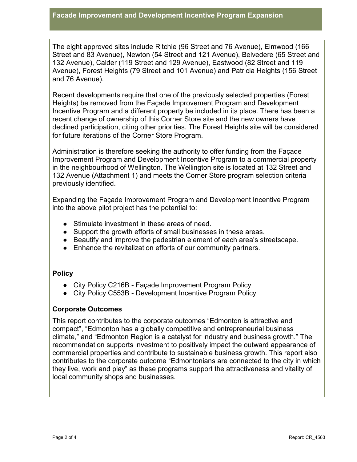The eight approved sites include Ritchie (96 Street and 76 Avenue), Elmwood (166 Street and 83 Avenue), Newton (54 Street and 121 Avenue), Belvedere (65 Street and 132 Avenue), Calder (119 Street and 129 Avenue), Eastwood (82 Street and 119 Avenue), Forest Heights (79 Street and 101 Avenue) and Patricia Heights (156 Street and 76 Avenue).

Recent developments require that one of the previously selected properties (Forest Heights) be removed from the Façade Improvement Program and Development Incentive Program and a different property be included in its place. There has been a recent change of ownership of this Corner Store site and the new owners have declined participation, citing other priorities. The Forest Heights site will be considered for future iterations of the Corner Store Program.

Administration is therefore seeking the authority to offer funding from the Façade Improvement Program and Development Incentive Program to a commercial property in the neighbourhood of Wellington. The Wellington site is located at 132 Street and 132 Avenue [\(Attachment 1](https://docs.google.com/document/d/1IMg-ZvhkGiEB1hbILihy8gedwQxjPnLaa7HrNBd8LA4/edit)) and meets the Corner Store program selection criteria previously identified.

Expanding the Façade Improvement Program and Development Incentive Program into the above pilot project has the potential to:

- Stimulate investment in these areas of need.
- Support the growth efforts of small businesses in these areas.
- Beautify and improve the pedestrian element of each area's streetscape.
- Enhance the revitalization efforts of our community partners.

# **Policy**

- City Policy C216B Façade Improvement Program Policy
- City Policy C553B Development Incentive Program Policy

# **Corporate Outcomes**

This report contributes to the corporate outcomes "Edmonton is attractive and compact", "Edmonton has a globally competitive and entrepreneurial business climate," and "Edmonton Region is a catalyst for industry and business growth." The recommendation supports investment to positively impact the outward appearance of commercial properties and contribute to sustainable business growth. This report also contributes to the corporate outcome "Edmontonians are connected to the city in which they live, work and play" as these programs support the attractiveness and vitality of local community shops and businesses.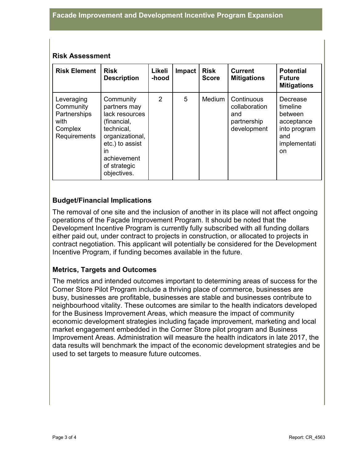#### **Risk Assessment**

| <b>Risk Element</b>                                                        | <b>Risk</b><br><b>Description</b>                                                                                                                                  | Likeli<br>-hood | Impact | <b>Risk</b><br><b>Score</b> | <b>Current</b><br><b>Mitigations</b>                             | <b>Potential</b><br><b>Future</b><br><b>Mitigations</b>                                    |
|----------------------------------------------------------------------------|--------------------------------------------------------------------------------------------------------------------------------------------------------------------|-----------------|--------|-----------------------------|------------------------------------------------------------------|--------------------------------------------------------------------------------------------|
| Leveraging<br>Community<br>Partnerships<br>with<br>Complex<br>Requirements | Community<br>partners may<br>lack resources<br>(financial,<br>technical,<br>organizational,<br>etc.) to assist<br>ın<br>achievement<br>of strategic<br>objectives. | $\overline{2}$  | 5      | <b>Medium</b>               | Continuous<br>collaboration<br>and<br>partnership<br>development | Decrease<br>timeline<br>between<br>acceptance<br>into program<br>and<br>implementati<br>on |

# **Budget/Financial Implications**

The removal of one site and the inclusion of another in its place will not affect ongoing operations of the Façade Improvement Program. It should be noted that the Development Incentive Program is currently fully subscribed with all funding dollars either paid out, under contract to projects in construction, or allocated to projects in contract negotiation. This applicant will potentially be considered for the Development Incentive Program, if funding becomes available in the future.

# **Metrics, Targets and Outcomes**

The metrics and intended outcomes important to determining areas of success for the Corner Store Pilot Program include a thriving place of commerce, businesses are busy, businesses are profitable, businesses are stable and businesses contribute to neighbourhood vitality. These outcomes are similar to the health indicators developed for the Business Improvement Areas, which measure the impact of community economic development strategies including façade improvement, marketing and local market engagement embedded in the Corner Store pilot program and Business Improvement Areas. Administration will measure the health indicators in late 2017, the data results will benchmark the impact of the economic development strategies and be used to set targets to measure future outcomes.